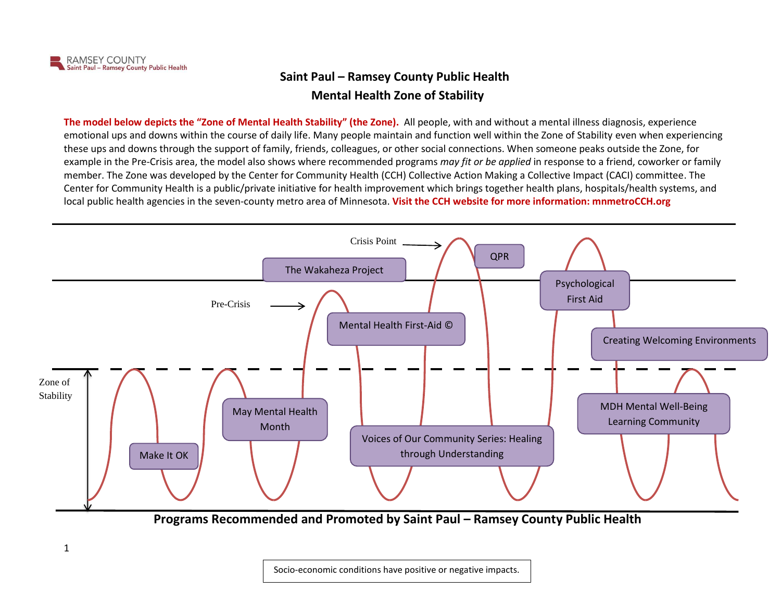## **Saint Paul – Ramsey County Public Health Mental Health Zone of Stability**

**The model below depicts the "Zone of Mental Health Stability" (the Zone).** All people, with and without a mental illness diagnosis, experience emotional ups and downs within the course of daily life. Many people maintain and function well within the Zone of Stability even when experiencing these ups and downs through the support of family, friends, colleagues, or other social connections. When someone peaks outside the Zone, for example in the Pre-Crisis area, the model also shows where recommended programs *may fit or be applied* in response to a friend, coworker or family member. The Zone was developed by the Center for Community Health (CCH) Collective Action Making a Collective Impact (CACI) committee. The Center for Community Health is a public/private initiative for health improvement which brings together health plans, hospitals/health systems, and local public health agencies in the seven-county metro area of Minnesota. **Visit the CCH website for more information: mnmetroCCH.org**



**Programs Recommended and Promoted by Saint Paul – Ramsey County Public Health**